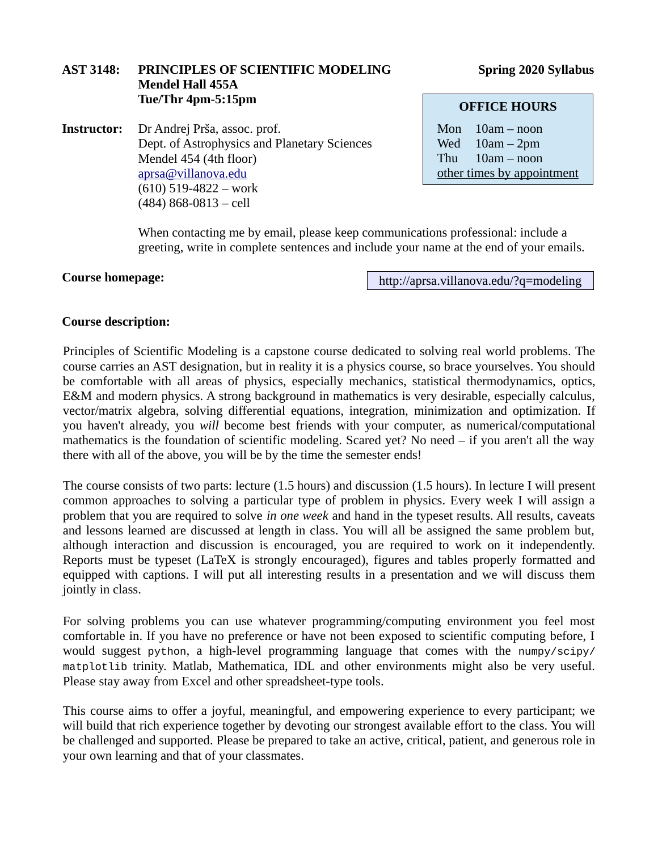# **AST 3148: PRINCIPLES OF SCIENTIFIC MODELING Spring 2020 Syllabus Mendel Hall 455A Tue/Thr 4pm-5:15pm**

**Instructor:** Dr Andrej Prša, assoc. prof. Dept. of Astrophysics and Planetary Sciences Mendel 454 (4th floor) [aprsa@villanova.edu](mailto:aprsa@villanova.edu) (610) 519-4822 – work (484) 868-0813 – cell

**OFFICE HOURS**

Mon 10am – noon Wed 10am – 2pm Thu 10am – noon other times by appointment

When contacting me by email, please keep communications professional: include a greeting, write in complete sentences and include your name at the end of your emails.

#### **Course homepage:**

http://aprsa.villanova.edu/?q=modeling

## **Course description:**

Principles of Scientific Modeling is a capstone course dedicated to solving real world problems. The course carries an AST designation, but in reality it is a physics course, so brace yourselves. You should be comfortable with all areas of physics, especially mechanics, statistical thermodynamics, optics, E&M and modern physics. A strong background in mathematics is very desirable, especially calculus, vector/matrix algebra, solving differential equations, integration, minimization and optimization. If you haven't already, you *will* become best friends with your computer, as numerical/computational mathematics is the foundation of scientific modeling. Scared yet? No need – if you aren't all the way there with all of the above, you will be by the time the semester ends!

The course consists of two parts: lecture (1.5 hours) and discussion (1.5 hours). In lecture I will present common approaches to solving a particular type of problem in physics. Every week I will assign a problem that you are required to solve *in one week* and hand in the typeset results. All results, caveats and lessons learned are discussed at length in class. You will all be assigned the same problem but, although interaction and discussion is encouraged, you are required to work on it independently. Reports must be typeset (LaTeX is strongly encouraged), figures and tables properly formatted and equipped with captions. I will put all interesting results in a presentation and we will discuss them jointly in class.

For solving problems you can use whatever programming/computing environment you feel most comfortable in. If you have no preference or have not been exposed to scientific computing before, I would suggest python, a high-level programming language that comes with the numpy/scipy/ matplotlib trinity. Matlab, Mathematica, IDL and other environments might also be very useful. Please stay away from Excel and other spreadsheet-type tools.

This course aims to offer a joyful, meaningful, and empowering experience to every participant; we will build that rich experience together by devoting our strongest available effort to the class. You will be challenged and supported. Please be prepared to take an active, critical, patient, and generous role in your own learning and that of your classmates.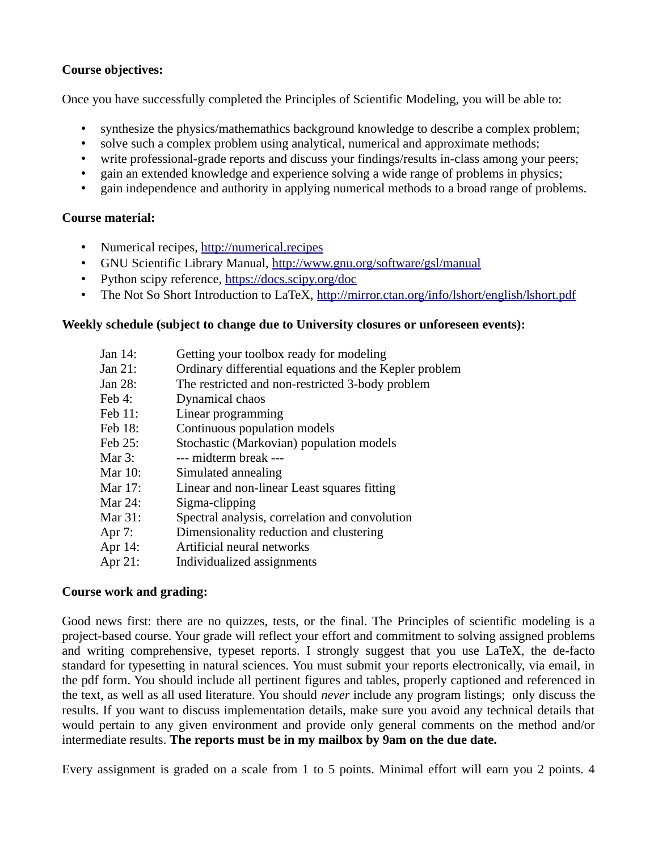# **Course objectives:**

Once you have successfully completed the Principles of Scientific Modeling, you will be able to:

- synthesize the physics/mathemathics background knowledge to describe a complex problem;
- solve such a complex problem using analytical, numerical and approximate methods;
- write professional-grade reports and discuss your findings/results in-class among your peers;
- gain an extended knowledge and experience solving a wide range of problems in physics;
- gain independence and authority in applying numerical methods to a broad range of problems.

## **Course material:**

- Numerical recipes, [http://numerical.recipes](http://numerical.recipes/)
- GNU Scientific Library Manual,<http://www.gnu.org/software/gsl/manual>
- Python scipy reference, <https://docs.scipy.org/doc>
- The Not So Short Introduction to LaTeX, <http://mirror.ctan.org/info/lshort/english/lshort.pdf>

## **Weekly schedule (subject to change due to University closures or unforeseen events):**

| Jan 14:  | Getting your toolbox ready for modeling                |
|----------|--------------------------------------------------------|
| Jan 21:  | Ordinary differential equations and the Kepler problem |
| Jan 28:  | The restricted and non-restricted 3-body problem       |
| Feb 4:   | Dynamical chaos                                        |
| Feb 11:  | Linear programming                                     |
| Feb 18:  | Continuous population models                           |
| Feb 25:  | Stochastic (Markovian) population models               |
| Mar 3:   | --- midterm break ---                                  |
| Mar 10:  | Simulated annealing                                    |
| Mar 17:  | Linear and non-linear Least squares fitting            |
| Mar 24:  | Sigma-clipping                                         |
| Mar 31:  | Spectral analysis, correlation and convolution         |
| Apr 7:   | Dimensionality reduction and clustering                |
| Apr $14$ | Artificial neural networks                             |

Apr 14:<br>Apr 21: Individualized assignments

## **Course work and grading:**

Good news first: there are no quizzes, tests, or the final. The Principles of scientific modeling is a project-based course. Your grade will reflect your effort and commitment to solving assigned problems and writing comprehensive, typeset reports. I strongly suggest that you use LaTeX, the de-facto standard for typesetting in natural sciences. You must submit your reports electronically, via email, in the pdf form. You should include all pertinent figures and tables, properly captioned and referenced in the text, as well as all used literature. You should *never* include any program listings; only discuss the results. If you want to discuss implementation details, make sure you avoid any technical details that would pertain to any given environment and provide only general comments on the method and/or intermediate results. **The reports must be in my mailbox by 9am on the due date.**

Every assignment is graded on a scale from 1 to 5 points. Minimal effort will earn you 2 points. 4